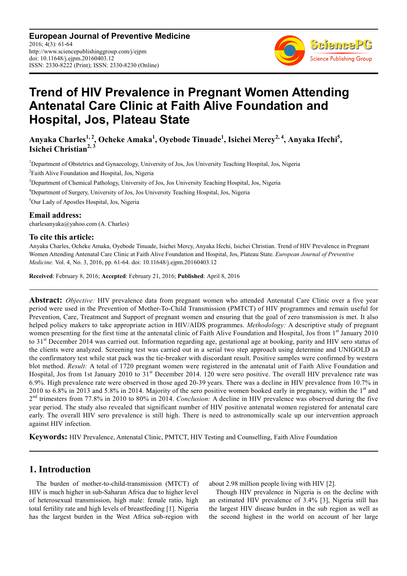**European Journal of Preventive Medicine** 2016; 4(3): 61-64 http://www.sciencepublishinggroup.com/j/ejpm doi: 10.11648/j.ejpm.20160403.12 ISSN: 2330-8222 (Print); ISSN: 2330-8230 (Online)



# **Trend of HIV Prevalence in Pregnant Women Attending Antenatal Care Clinic at Faith Alive Foundation and Hospital, Jos, Plateau State**

**Anyaka Charles1, 2, Ocheke Amaka<sup>1</sup> , Oyebode Tinuade<sup>1</sup> , Isichei Mercy2, 4, Anyaka Ifechi<sup>5</sup> , Isichei Christian2, 3**

Department of Obstetrics and Gynaecology, University of Jos, Jos University Teaching Hospital, Jos, Nigeria <sup>2</sup>Faith Alive Foundation and Hospital, Jos, Nigeria Department of Chemical Pathology, University of Jos, Jos University Teaching Hospital, Jos, Nigeria Department of Surgery, University of Jos, Jos University Teaching Hospital, Jos, Nigeria

<sup>5</sup>Our Lady of Apostles Hospital, Jos, Nigeria

#### **Email address:**

charlesanyaka@yahoo.com (A. Charles)

#### **To cite this article:**

Anyaka Charles, Ocheke Amaka, Oyebode Tinuade, Isichei Mercy, Anyaka Ifechi, Isichei Christian. Trend of HIV Prevalence in Pregnant Women Attending Antenatal Care Clinic at Faith Alive Foundation and Hospital, Jos, Plateau State. *European Journal of Preventive Medicine.* Vol. 4, No. 3, 2016, pp. 61-64. doi: 10.11648/j.ejpm.20160403.12

**Received**: February 8, 2016; **Accepted**: February 21, 2016; **Published**: April 8, 2016

**Abstract:** *Objective:* HIV prevalence data from pregnant women who attended Antenatal Care Clinic over a five year period were used in the Prevention of Mother-To-Child Transmission (PMTCT) of HIV programmes and remain useful for Prevention, Care, Treatment and Support of pregnant women and ensuring that the goal of zero transmission is met. It also helped policy makers to take appropriate action in HIV/AIDS programmes. *Methodology:* A descriptive study of pregnant women presenting for the first time at the antenatal clinic of Faith Alive Foundation and Hospital, Jos from 1st January 2010 to 31st December 2014 was carried out. Information regarding age, gestational age at booking, parity and HIV sero status of the clients were analyzed. Screening test was carried out in a serial two step approach using determine and UNIGOLD as the confirmatory test while stat pack was the tie-breaker with discordant result. Positive samples were confirmed by western blot method. *Result:* A total of 1720 pregnant women were registered in the antenatal unit of Faith Alive Foundation and Hospital, Jos from 1st January 2010 to  $31<sup>st</sup>$  December 2014. 120 were sero positive. The overall HIV prevalence rate was 6.9%. High prevalence rate were observed in those aged 20-39 years. There was a decline in HIV prevalence from 10.7% in 2010 to 6.8% in 2013 and 5.8% in 2014. Majority of the sero positive women booked early in pregnancy, within the  $1<sup>st</sup>$  and 2 nd trimesters from 77.8% in 2010 to 80% in 2014. *Conclusion:* A decline in HIV prevalence was observed during the five year period. The study also revealed that significant number of HIV positive antenatal women registered for antenatal care early. The overall HIV sero prevalence is still high. There is need to astronomically scale up our intervention approach against HIV infection.

**Keywords:** HIV Prevalence, Antenatal Clinic, PMTCT, HIV Testing and Counselling, Faith Alive Foundation

## **1. Introduction**

The burden of mother-to-child-transmission (MTCT) of HIV is much higher in sub-Saharan Africa due to higher level of heterosexual transmission, high male: female ratio, high total fertility rate and high levels of breastfeeding [1]. Nigeria has the largest burden in the West Africa sub-region with about 2.98 million people living with HIV [2].

Though HIV prevalence in Nigeria is on the decline with an estimated HIV prevalence of 3.4% [3], Nigeria still has the largest HIV disease burden in the sub region as well as the second highest in the world on account of her large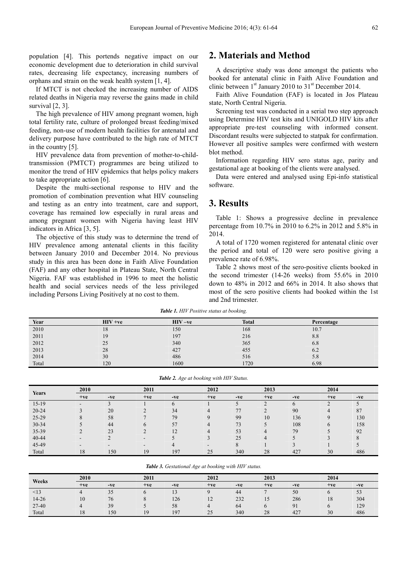population [4]. This portends negative impact on our economic development due to deterioration in child survival rates, decreasing life expectancy, increasing numbers of orphans and strain on the weak health system [1, 4].

If MTCT is not checked the increasing number of AIDS related deaths in Nigeria may reverse the gains made in child survival [2, 3].

The high prevalence of HIV among pregnant women, high total fertility rate, culture of prolonged breast feeding/mixed feeding, non-use of modern health facilities for antenatal and delivery purpose have contributed to the high rate of MTCT in the country [5].

HIV prevalence data from prevention of mother-to-childtransmission (PMTCT) programmes are being utilized to monitor the trend of HIV epidemics that helps policy makers to take appropriate action [6].

Despite the multi-sectional response to HIV and the promotion of combination prevention what HIV counseling and testing as an entry into treatment, care and support, coverage has remained low especially in rural areas and among pregnant women with Nigeria having least HIV indicators in Africa [3, 5].

The objective of this study was to determine the trend of HIV prevalence among antenatal clients in this facility between January 2010 and December 2014. No previous study in this area has been done in Faith Alive Foundation (FAF) and any other hospital in Plateau State, North Central Nigeria. FAF was established in 1996 to meet the holistic health and social services needs of the less privileged including Persons Living Positively at no cost to them.

### **2. Materials and Method**

A descriptive study was done amongst the patients who booked for antenatal clinic in Faith Alive Foundation and clinic between  $1<sup>st</sup>$  January 2010 to 31<sup>st</sup> December 2014.

Faith Alive Foundation (FAF) is located in Jos Plateau state, North Central Nigeria.

Screening test was conducted in a serial two step approach using Determine HIV test kits and UNIGOLD HIV kits after appropriate pre-test counseling with informed consent. Discordant results were subjected to statpak for confirmation. However all positive samples were confirmed with western blot method.

Information regarding HIV sero status age, parity and gestational age at booking of the clients were analysed.

Data were entered and analysed using Epi-info statistical software.

#### **3. Results**

Table 1: Shows a progressive decline in prevalence percentage from 10.7% in 2010 to 6.2% in 2012 and 5.8% in 2014.

A total of 1720 women registered for antenatal clinic over the period and total of 120 were sero positive giving a prevalence rate of 6.98%.

Table 2 shows most of the sero-positive clients booked in the second trimester (14-26 weeks) from 55.6% in 2010 down to 48% in 2012 and 66% in 2014. It also shows that most of the sero positive clients had booked within the 1st and 2nd trimester.

*Table 1. HIV Positive status at booking.* 

| Year  | $HIV +ve$ | $HIV -ve$ | <b>Total</b> | Percentage |
|-------|-----------|-----------|--------------|------------|
| 2010  | 18        | 150       | 168          | 10.7       |
| 2011  | 19        | 197       | 216          | 8.8        |
| 2012  | 25        | 340       | 365          | 6.8        |
| 2013  | 28        | 427       | 455          | 6.2        |
| 2014  | 30        | 486       | 516          | 5.8        |
| Total | 120       | 1600      | 1720         | 6.98       |

*Table 2. Age at booking with HIV Status.* 

| <b>Years</b> | 2010  |       | 2011  |              |       | 2012  |                | 2013  |          |       |
|--------------|-------|-------|-------|--------------|-------|-------|----------------|-------|----------|-------|
|              | $+ve$ | $-ve$ | $+ve$ | $-ve$        | $+ve$ | $-ve$ | $+ve$          | $-ve$ | $+ve$    | $-ve$ |
| $15-19$      | -     |       |       | <sup>0</sup> |       |       |                | o     |          |       |
| $20 - 24$    |       | 20    |       | 34           |       | 77    |                | 90    |          | 87    |
| $25-29$      |       | 58    |       | 79           |       | 99    | 10             | 136   |          | 130   |
| $30 - 34$    |       | 44    | 6     | 57           |       | 73    |                | 108   | $\sigma$ | 158   |
| 35-39        |       | 23    |       | 12           | 4     | 53    | $\overline{4}$ | 79    |          | 92    |
| $40 - 44$    |       |       |       |              |       | 25    | 4              |       |          |       |
| 45-49        |       |       |       |              |       |       |                |       |          |       |
| Total        | 18    | 150   | 19    | 197          | 25    | 340   | 28             | 427   | 30       | 486   |

*Table 3. Gestational Age at booking with HIV status.* 

| Weeks     | 2010  |              | 2011  |       | 2012                     |       |       | 2013           |       | 2014 |  |
|-----------|-------|--------------|-------|-------|--------------------------|-------|-------|----------------|-------|------|--|
|           | $+ve$ | $-ve$        | $+ve$ | $-ve$ | $+ve$                    | $-ve$ | $+ve$ | $-ve$          | $+ve$ | -ve  |  |
| $\leq$ 13 |       | $\sim$<br>33 |       |       |                          | 44    |       | 50             |       | 53   |  |
| $14 - 26$ | 10    | 76           |       | 126   | $\sim$<br>$\overline{ }$ | 232   | IJ    | 286            | 18    | 304  |  |
| 27-40     |       | 39           |       | 58    |                          | 64    |       | Q <sub>1</sub> |       | 129  |  |
| Total     | 18    | 150          | 19    | 197   | 25                       | 340   | 28    | 427            | 30    | 486  |  |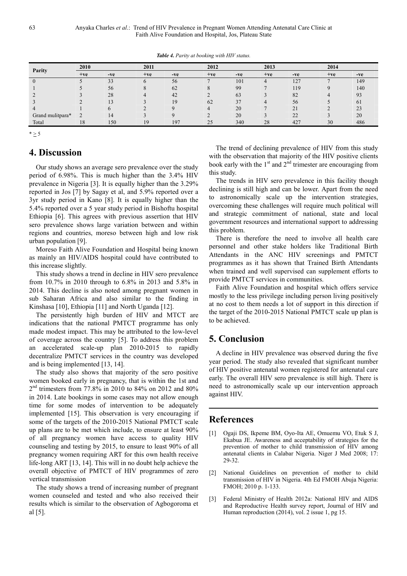| Parity           | 2010  |       | 2011         |       |       | 2012          |       | 2013 |       | 2014 |  |
|------------------|-------|-------|--------------|-------|-------|---------------|-------|------|-------|------|--|
|                  | $+ve$ | $-ve$ | $+ve$        | $-ve$ | $+ve$ | $-ve$         | $+ve$ | -ve  | $+ve$ | -ve  |  |
|                  |       | 33    | $\mathbf{p}$ | 56    |       | 101           | 4     | 127  |       | 149  |  |
|                  |       | 56    |              | 62    |       | 99            |       | 119  |       | 140  |  |
|                  |       | 28    |              | 42    |       | 63            |       | 82   |       | 93   |  |
|                  |       |       |              | 19    | 62    | $\frac{1}{2}$ | 4     | 56   |       | 61   |  |
|                  |       |       |              |       |       | 20            |       | 21   |       | 23   |  |
| Grand mulitpara* |       | 14    |              |       |       | 20            |       | 22   |       | 20   |  |
| Total            | 18    | 150   | 10           | 197   | 25    | 340           | 28    | 427  | 30    | 486  |  |

*Table 4. Parity at booking with HIV status.* 

 $* \geq 5$ 

## **4. Discussion**

Our study shows an average sero prevalence over the study period of 6.98%. This is much higher than the 3.4% HIV prevalence in Nigeria [3]. It is equally higher than the 3.29% reported in Jos [7] by Sagay et al, and 5.9% reported over a 3yr study period in Kano [8]. It is equally higher than the 5.4% reported over a 5 year study period in Bishoftu hospital Ethiopia [6]. This agrees with previous assertion that HIV sero prevalence shows large variation between and within regions and countries, moreso between high and low risk urban population [9].

Moreso Faith Alive Foundation and Hospital being known as mainly an HIV/AIDS hospital could have contributed to this increase slightly.

This study shows a trend in decline in HIV sero prevalence from 10.7% in 2010 through to 6.8% in 2013 and 5.8% in 2014. This decline is also noted among pregnant women in sub Saharan Africa and also similar to the finding in Kinshasa [10], Ethiopia [11] and North Uganda [12].

The persistently high burden of HIV and MTCT are indications that the national PMTCT programme has only made modest impact. This may be attributed to the low-level of coverage across the country [5]. To address this problem an accelerated scale-up plan 2010-2015 to rapidly decentralize PMTCT services in the country was developed and is being implemented [13, 14].

The study also shows that majority of the sero positive women booked early in pregnancy, that is within the 1st and 2 nd trimesters from 77.8% in 2010 to 84% on 2012 and 80% in 2014. Late bookings in some cases may not allow enough time for some modes of intervention to be adequately implemented [15]. This observation is very encouraging if some of the targets of the 2010-2015 National PMTCT scale up plans are to be met which include, to ensure at least 90% of all pregnancy women have access to quality HIV counseling and testing by 2015, to ensure to least 90% of all pregnancy women requiring ART for this own health receive life-long ART [13, 14]. This will in no doubt help achieve the overall objective of PMTCT of HIV programmes of zero vertical transmission

The study shows a trend of increasing number of pregnant women counseled and tested and who also received their results which is similar to the observation of Agbogoroma et al [5].

The trend of declining prevalence of HIV from this study with the observation that majority of the HIV positive clients book early with the  $1<sup>st</sup>$  and  $2<sup>nd</sup>$  trimester are encouraging from this study.

The trends in HIV sero prevalence in this facility though declining is still high and can be lower. Apart from the need to astronomically scale up the intervention strategies, overcoming these challenges will require much political will and strategic commitment of national, state and local government resources and international support to addressing this problem.

There is therefore the need to involve all health care personnel and other stake holders like Traditional Birth Attendants in the ANC HIV screenings and PMTCT programmes as it has shown that Trained Birth Attendants when trained and well supervised can supplement efforts to provide PMTCT services in communities.

Faith Alive Foundation and hospital which offers service mostly to the less privilege including person living positively at no cost to them needs a lot of support in this direction if the target of the 2010-2015 National PMTCT scale up plan is to be achieved.

# **5. Conclusion**

A decline in HIV prevalence was observed during the five year period. The study also revealed that significant number of HIV positive antenatal women registered for antenatal care early. The overall HIV sero prevalence is still high. There is need to astronomically scale up our intervention approach against HIV.

# **References**

- [1] Ogaji DS, Ikpeme BM, Oyo-Ita AE, Omuemu VO, Etuk S J, Ekabua JE. Awareness and acceptability of strategies for the prevention of mother to child transmission of HIV among antenatal clients in Calabar Nigeria. Niger J Med 2008; 17: 29-32.
- [2] National Guidelines on prevention of mother to child transmission of HIV in Nigeria. 4th Ed FMOH Abuja Nigeria: FMOH; 2010 p. 1-133.
- [3] Federal Ministry of Health 2012a: National HIV and AIDS and Reproductive Health survey report, Journal of HIV and Human reproduction (2014), vol. 2 issue 1, pg 15.